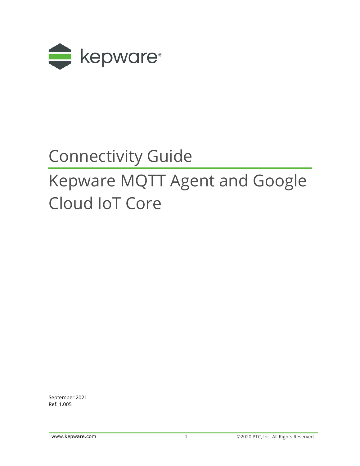

# Connectivity Guide

# Kepware MQTT Agent and Google Cloud IoT Core

September 2021 Ref. 1.005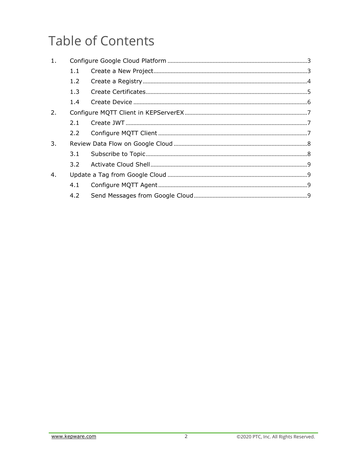## **Table of Contents**

| 1. |         |  |
|----|---------|--|
|    | 1.1     |  |
|    | 1.2     |  |
|    | 1.3     |  |
|    | 1.4     |  |
| 2. |         |  |
|    | 2.1     |  |
|    |         |  |
| 3. |         |  |
|    | 3.1     |  |
|    | $3.2 -$ |  |
| 4. |         |  |
|    | 4.1     |  |
|    | 4.2     |  |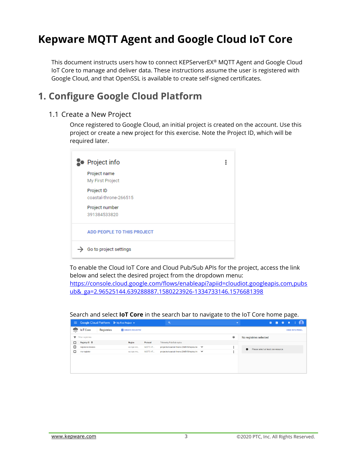## **Kepware MQTT Agent and Google Cloud IoT Core**

This document instructs users how to connect KEPServerEX® MQTT Agent and Google Cloud IoT Core to manage and deliver data. These instructions assume the user is registered with Google Cloud, and that OpenSSL is available to create self-signed certificates.

## <span id="page-2-0"></span>**1. Configure Google Cloud Platform**

#### <span id="page-2-1"></span>1.1 Create a New Project

Once registered to Google Cloud, an initial project is created on the account. Use this project or create a new project for this exercise. Note the Project ID, which will be required later.



To enable the Cloud IoT Core and Cloud Pub/Sub APIs for the project, access the link below and select the desired project from the dropdown menu: [https://console.cloud.google.com/flows/enableapi?apiid=cloudiot.googleapis.com,pubs](https://console.cloud.google.com/flows/enableapi?apiid=cloudiot.googleapis.com,pubsub&_ga=2.96525144.639288887.1580223926-1334733146.1576681398) [ub&\\_ga=2.96525144.639288887.1580223926-1334733146.1576681398](https://console.cloud.google.com/flows/enableapi?apiid=cloudiot.googleapis.com,pubsub&_ga=2.96525144.639288887.1580223926-1334733146.1576681398)

|          |                   |                                                             |                        |          |                                            | ້ |        |                        |                                      |                                      | ້                      |  |
|----------|-------------------|-------------------------------------------------------------|------------------------|----------|--------------------------------------------|---|--------|------------------------|--------------------------------------|--------------------------------------|------------------------|--|
| $\equiv$ |                   | Google Cloud Platform <sup>3</sup> My First Project $\star$ |                        |          | $\alpha$                                   |   | $\sim$ |                        | 音                                    | $\overline{\mathbf{z}}$<br>$\bullet$ |                        |  |
| ক্লু     | <b>IoT</b> Core   | Registries                                                  | <b>CREATE REGISTRY</b> |          |                                            |   |        |                        |                                      |                                      | <b>HIDE INFO PANEL</b> |  |
|          | Filter registries |                                                             |                        |          |                                            |   | 0      | No registries selected |                                      |                                      |                        |  |
| n.       | Registry ID 个     |                                                             | Region                 | Protocol | Telemetry Pub/Sub topics                   |   |        |                        |                                      |                                      |                        |  |
| □        | kepware-devices   |                                                             | europe-we              | MQTT, HT | projects/coastal-throne-266515/topics/k€ → |   |        | $\bullet$              | Please select at least one resource. |                                      |                        |  |
|          | my-registry       |                                                             | europe-we              | MOTT, HT | projects/coastal-throne-266515/topics/m V  |   |        |                        |                                      |                                      |                        |  |
|          |                   |                                                             |                        |          |                                            |   |        |                        |                                      |                                      |                        |  |
|          |                   |                                                             |                        |          |                                            |   |        |                        |                                      |                                      |                        |  |
|          |                   |                                                             |                        |          |                                            |   |        |                        |                                      |                                      |                        |  |
|          |                   |                                                             |                        |          |                                            |   |        |                        |                                      |                                      |                        |  |

#### Search and select **IoT Core** in the search bar to navigate to the IoT Core home page.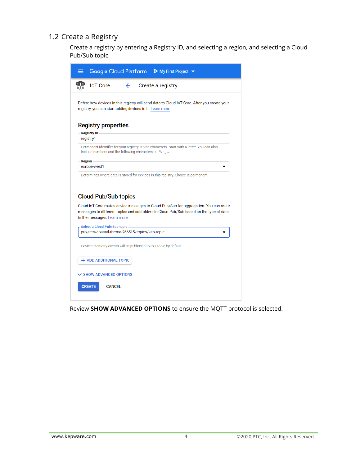#### <span id="page-3-0"></span>1.2 Create a Registry

Create a registry by entering a Registry ID, and selecting a region, and selecting a Cloud Pub/Sub topic.



Review **SHOW ADVANCED OPTIONS** to ensure the MQTT protocol is selected.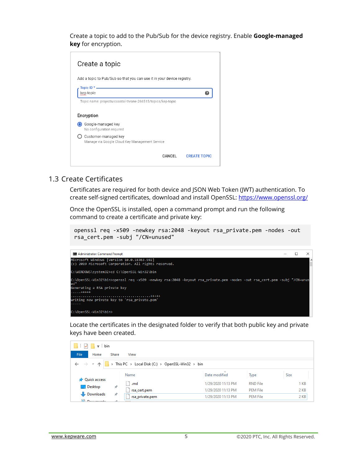Create a topic to add to the Pub/Sub for the device registry. Enable **Google-managed key** for encryption.



#### <span id="page-4-0"></span>1.3 Create Certificates

Certificates are required for both device and JSON Web Token (JWT) authentication. To create self-signed certificates, download and install OpenSSL[: https://www.openssl.org/](https://www.openssl.org/)

Once the OpenSSL is installed, open a command prompt and run the following command to create a certificate and private key:

```
openssl req -x509 -newkey rsa:2048 -keyout rsa_private.pem -nodes -out 
rsa_cert.pem -subj "/CN=unused"
```


Locate the certificates in the designated folder to verify that both public key and private keys have been created.

| $\overline{\phantom{a}}$ bin                                                                                                                               |                                  |                         |                 |             |  |  |  |
|------------------------------------------------------------------------------------------------------------------------------------------------------------|----------------------------------|-------------------------|-----------------|-------------|--|--|--|
| File<br>Home<br>Share<br>View                                                                                                                              |                                  |                         |                 |             |  |  |  |
| $\leftarrow$ $\rightarrow$ $\vee$ $\uparrow$ $\parallel$ $\rightarrow$ This PC $\rightarrow$ Local Disk (C:) $\rightarrow$ OpenSSL-Win32 $\rightarrow$ bin |                                  |                         |                 |             |  |  |  |
|                                                                                                                                                            | Name                             | $\sim$<br>Date modified | Type            | <b>Size</b> |  |  |  |
| <b>Ouick access</b><br>Desktop                                                                                                                             | .rnd<br>×                        | 1/29/2020 11:13 PM      | <b>RND File</b> | 1 KB        |  |  |  |
|                                                                                                                                                            | rsa_cert.pem                     | 1/29/2020 11:13 PM      | <b>PEM File</b> | 2 KB        |  |  |  |
| Downloads<br><b>All Decuments</b>                                                                                                                          | $\mathcal{R}$<br>rsa_private.pem | 1/29/2020 11:13 PM      | <b>PEM File</b> | 2 KB        |  |  |  |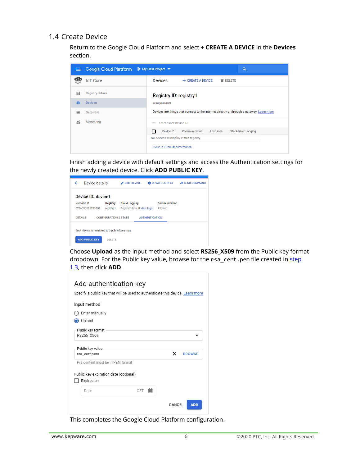#### <span id="page-5-0"></span>1.4 Create Device

Return to the Google Cloud Platform and select **+ CREATE A DEVICE** in the **Devices** section.

| ≡   | Google Cloud Platform   | <sup>•</sup> My First Project ▼<br>Q                                                      |
|-----|-------------------------|-------------------------------------------------------------------------------------------|
| पुर | <b>IoT</b> Core         | <b>Devices</b><br>+ CREATE A DEVICE<br><b>DELETE</b>                                      |
| 囯   | <b>Registry details</b> | <b>Registry ID: registry1</b>                                                             |
| 经   | <b>Devices</b>          | europe-west1                                                                              |
| 龗   | Gateways                | Devices are things that connect to the internet directly or through a gateway. Learn more |
| 盃   | Monitoring              | Enter exact device ID<br>Ξ                                                                |
|     |                         | Communication<br><b>Stackdriver Logging</b><br>Device ID<br>П<br>Last seen                |
|     |                         | No devices to display in this registry                                                    |
|     |                         | Cloud IoT Core documentation                                                              |

Finish adding a device with default settings and access the Authentication settings for the newly created device. Click **ADD PUBLIC KEY**.

| Device details<br>←                             |                                  | <b>EDIT DEVICE</b><br>◢    |                       | <b>EX UPDATE CONFIG</b> | <b>SEND COMMAND</b><br>◢ |
|-------------------------------------------------|----------------------------------|----------------------------|-----------------------|-------------------------|--------------------------|
| Device ID: device1                              |                                  |                            |                       |                         |                          |
| <b>Numeric ID</b>                               | <b>Registry</b>                  | <b>Cloud Logging</b>       |                       | Communication           |                          |
| 2736656321793302                                | registry1                        | Registry default View logs |                       | Allowed                 |                          |
| <b>DETAILS</b>                                  | <b>CONFIGURATION &amp; STATE</b> |                            | <b>AUTHENTICATION</b> |                         |                          |
| Each device is restricted to 3 public keys max. |                                  |                            |                       |                         |                          |
|                                                 |                                  |                            |                       |                         |                          |
| <b>ADD PUBLIC KEY</b>                           | <b>DELETE</b>                    |                            |                       |                         |                          |

Choose **Upload** as the input method and select **RS256\_X509** from the Public key format dropdown. For the Public key value, browse for the rsa\_cert.pem file created in step [1.3,](#page-4-0) then click **ADD**.

|          | Input method                                         |   |               |
|----------|------------------------------------------------------|---|---------------|
|          | Enter manually                                       |   |               |
| O Upload |                                                      |   |               |
|          | Public key format<br>RS256_X509                      |   |               |
|          | Public key value<br>rsa_cert.pem                     | × | <b>BROWSE</b> |
|          | File content must be in PFM format                   |   |               |
|          |                                                      |   |               |
|          | Public key expiration date (optional)<br>Expires on: |   |               |

This completes the Google Cloud Platform configuration.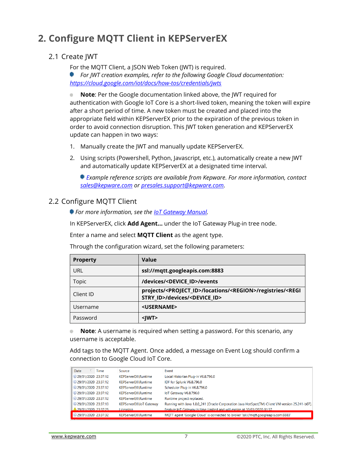## <span id="page-6-0"></span>**2. Configure MQTT Client in KEPServerEX**

## <span id="page-6-1"></span>2.1 Create JWT

For the MQTT Client, a JSON Web Token (JWT) is required.

*For JWT creation examples, refer to the following Google Cloud documentation: <https://cloud.google.com/iot/docs/how-tos/credentials/jwts>*

**Note**: Per the Google documentation linked above, the JWT required for authentication with Google IoT Core is a short-lived token, meaning the token will expire after a short period of time. A new token must be created and placed into the appropriate field within KEPServerEX prior to the expiration of the previous token in order to avoid connection disruption. This JWT token generation and KEPServerEX update can happen in two ways:

- 1. Manually create the JWT and manually update KEPServerEX.
- 2. Using scripts (Powershell, Python, Javascript, etc.), automatically create a new JWT and automatically update KEPServerEX at a designated time interval.

*Example reference scripts are available from Kepware. For more information, contact [sales@kepware.com](mailto:sales@kepware.com) or [presales.support@kepware.com.](mailto:presales.support@kepware.com)*

## <span id="page-6-2"></span>2.2 Configure MQTT Client

*For more information, see the [IoT Gateway Manual.](https://www.kepware.com/getattachment/96bdb7bb-4f9a-4cfe-be30-ef048d16dd83/iot-gateway-manual.pdf)* 

In KEPServerEX, click **Add Agent…** under the IoT Gateway Plug-in tree node.

Enter a name and select **MQTT Client** as the agent type.

Through the configuration wizard, set the following parameters:

| <b>Property</b> | Value                                                                                                                                     |
|-----------------|-------------------------------------------------------------------------------------------------------------------------------------------|
| URL             | ssl://mqtt.googleapis.com:8883                                                                                                            |
| <b>Topic</b>    | /devices/ <device id="">/events</device>                                                                                                  |
| Client ID       | projects/ <project_id>/locations/<region>/registries/<regi<br>STRY ID&gt;/devices/<device id=""></device></regi<br></region></project_id> |
| Username        | <username></username>                                                                                                                     |
| Password        | <iwt></iwt>                                                                                                                               |

**Note**: A username is required when setting a password. For this scenario, any . username is acceptable.

Add tags to the MQTT Agent. Once added, a message on Event Log should confirm a connection to Google Cloud IoT Core.

| Date                         | <b>Time</b> | Source                  | Event                                                                                           |
|------------------------------|-------------|-------------------------|-------------------------------------------------------------------------------------------------|
| 0 29/01/2020 23:37:12        |             | KEPServerEX\Runtime     | Local Historian Plug-in V6.8.796.0                                                              |
| 129/01/2020 23:37:12         |             | KEPServerEX\Runtime     | IDF for Splunk V6.8.796.0                                                                       |
| 129/01/2020 23:37:12         |             | KEPServerEX\Runtime     | Scheduler Plug-in V6.8.796.0                                                                    |
| 129/01/2020 23:37:12         |             | KEPServerEX\Runtime     | IoT Gateway V6.8.796.0                                                                          |
| 0 29/01/2020 23:37:12        |             | KEPServerEX\Runtime     | Runtime project replaced.                                                                       |
| <b>1</b> 29/01/2020 23:37:13 |             | KEPServerEX\IoT Gateway | Running with Java 1.8.0_241 [Oracle Corporation Java HotSpot(TM) Client VM version 25.241-b07]. |
| <b>A</b> 29/01/2020 23:37:25 |             | Licensing               | Feature IoT Gateway is time limited and will expire at 30/01/2020 01:37.                        |
| <b>D</b> 29/01/2020 23:37:32 |             | KEPServerEX\Runtime     | MQTT agent 'Google Cloud' is connected to broker 'ssl://mgtt.googleapis.com:8883'               |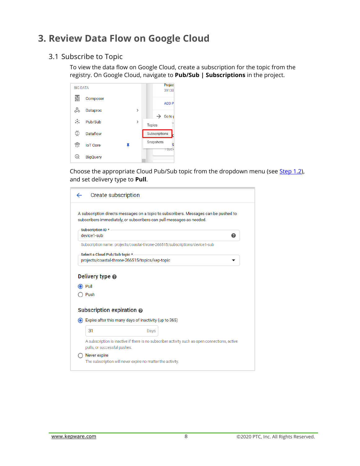## <span id="page-7-0"></span>**3. Review Data Flow on Google Cloud**

## <span id="page-7-1"></span>3.1 Subscribe to Topic

To view the data flow on Google Cloud, create a subscription for the topic from the registry. On Google Cloud, navigate to **Pub/Sub | Subscriptions** in the project.

| <b>BIG DATA</b> |                 |               | <b>Project</b>   |
|-----------------|-----------------|---------------|------------------|
|                 | Composer        |               | 39138-           |
|                 |                 |               | <b>ADD P</b>     |
|                 | Dataproc        | $\mathbf{r}$  | Go to p          |
|                 | Pub/Sub         | $\mathcal{P}$ | Topics           |
| ⊕               | Dataflow        |               | Subscriptions    |
| R               | <b>IoT</b> Core |               | Snapshots<br>puc |
| $_{\odot}$      | <b>BigQuery</b> |               |                  |

Choose the appropriate Cloud Pub/Sub topic from the dropdown menu (see [Step 1.2\)](#page-3-0), and set delivery type to **Pull**.

<span id="page-7-2"></span>

| Create subscription               |                                                                                                                                                              |
|-----------------------------------|--------------------------------------------------------------------------------------------------------------------------------------------------------------|
|                                   | A subscription directs messages on a topic to subscribers. Messages can be pushed to<br>subscribers immediately, or subscribers can pull messages as needed. |
| Subscription ID *                 |                                                                                                                                                              |
| device1-sub                       | ❷                                                                                                                                                            |
|                                   | Subscription name: projects/coastal-throne-266515/subscriptions/device1-sub                                                                                  |
| Select a Cloud Pub/Sub topic *    |                                                                                                                                                              |
|                                   | projects/coastal-throne-266515/topics/kep-topic                                                                                                              |
| Push<br>Subscription expiration @ | Expire after this many days of inactivity (up to 365)                                                                                                        |
| 31                                | Days                                                                                                                                                         |
| pulls, or successful pushes.      | A subscription is inactive if there is no subscriber activity such as open connections, active                                                               |
| Never expire                      |                                                                                                                                                              |
|                                   | The subscription will never expire no matter the activity.                                                                                                   |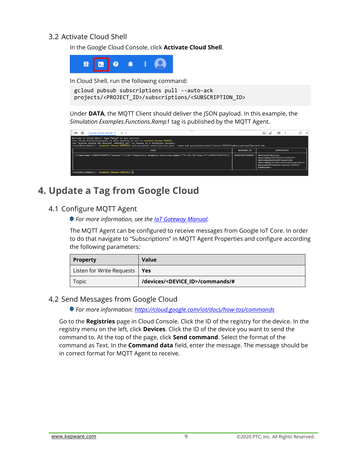## 3.2 Activate Cloud Shell

In the Google Cloud Console, click **Activate Cloud Shell**.



In Cloud Shell, run the following command:

```
gcloud pubsub subscriptions pull --auto-ack 
projects/<PROJECT_ID>/subscriptions/<SUBSCRIPTION_ID>
```
Under **DATA**, the MQTT Client should deliver the JSON payload. In this example, the *Simulation Examples.Functions.Ramp1* tag is published by the MQTT Agent.

| <b>FIRS</b><br>εò | $\frac{1}{2}$ (coastal-throne-266515) $\times$ + $\div$                                                                                                                                                                                                                                                                                                                     |                 |                                                                                                                                                                         | □ ノ 回 :   _       |  |  |
|-------------------|-----------------------------------------------------------------------------------------------------------------------------------------------------------------------------------------------------------------------------------------------------------------------------------------------------------------------------------------------------------------------------|-----------------|-------------------------------------------------------------------------------------------------------------------------------------------------------------------------|-------------------|--|--|
|                   | Welcome to Cloud Shell! Type "help" to get started.<br>Your Cloud Platform project in this session is set to coastal-throne-266515.<br>Use "gcloud config set project (PROJECT ID)" to change to a different project.<br>ttosun@cloudshell:~ (coastal-throne-266515)\$ gcloud pubsub subscriptions pull --auto-ack projects/coastal-throne-266515/subscriptions/device1-sub |                 |                                                                                                                                                                         |                   |  |  |
|                   | DATA                                                                                                                                                                                                                                                                                                                                                                        | MESSAGE ID      |                                                                                                                                                                         | <b>ATTRIBUTES</b> |  |  |
|                   | {"timestamp":1580374936574,"values":[{"id":"Simulation Examples.Functions.Ramp1","v":35,"q":true,"t":1580374935705}]}                                                                                                                                                                                                                                                       | 949918307208407 | device Id=device1<br>deviceNumId=2892641596482375<br>deviceRegistryId=registry1<br>deviceRegistryLocation=europe-west1<br>projectId=coastal-throne-266515<br>subFolder= |                   |  |  |
|                   | ttosun@cloudshell:~ (coastal-throne-266515) \$                                                                                                                                                                                                                                                                                                                              |                 |                                                                                                                                                                         |                   |  |  |

## <span id="page-8-0"></span>**4. Update a Tag from Google Cloud**

## <span id="page-8-1"></span>4.1 Configure MQTT Agent

*For more information, see the [IoT Gateway Manual.](https://www.kepware.com/getattachment/96bdb7bb-4f9a-4cfe-be30-ef048d16dd83/iot-gateway-manual.pdf)* 

The MQTT Agent can be configured to receive messages from Google IoT Core. In order to do that navigate to "Subscriptions" in MQTT Agent Properties and configure according the following parameters:

| <b>Property</b>                 | Value                                        |
|---------------------------------|----------------------------------------------|
| Listen for Write Requests   Yes |                                              |
| Topic                           | /devices/ <device_id>/commands/#</device_id> |

### <span id="page-8-2"></span>4.2 Send Messages from Google Cloud

*For more information:<https://cloud.google.com/iot/docs/how-tos/commands>*

Go to the **Registries** page in Cloud Console. Click the ID of the registry for the device. In the registry menu on the left, click **Devices**. Click the ID of the device you want to send the command to. At the top of the page, click **Send command**. Select the format of the command as Text. In the **Command data** field, enter the message. The message should be in correct format for MQTT Agent to receive.